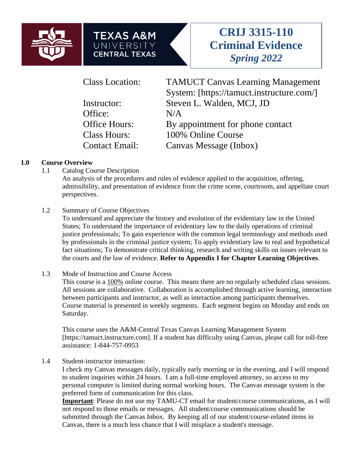





Office:  $N/A$ 

Class Location: TAMUCT Canvas Learning Management System: [https://tamuct.instructure.com/] Instructor: Steven L. Walden, MCJ, JD Office Hours: By appointment for phone contact Class Hours: 100% Online Course Contact Email: Canvas Message (Inbox)

## **1.0 Course Overview**

1.1 Catalog Course Description

An analysis of the procedures and rules of evidence applied to the acquisition, offering, admissibility, and presentation of evidence from the crime scene, courtroom, and appellate court perspectives.

1.2 Summary of Course Objectives

To understand and appreciate the history and evolution of the evidentiary law in the United States; To understand the importance of evidentiary law to the daily operations of criminal justice professionals; To gain experience with the common legal terminology and methods used by professionals in the criminal justice system; To apply evidentiary law to real and hypothetical fact situations; To demonstrate critical thinking, research and writing skills on issues relevant to the courts and the law of evidence. **Refer to Appendix I for Chapter Learning Objectives**.

## 1.3 Mode of Instruction and Course Access

This course is a 100% online course. This means there are no regularly scheduled class sessions. All sessions are collaborative. Collaboration is accomplished through active learning, interaction between participants and instructor, as well as interaction among participants themselves. Course material is presented in weekly segments. Each segment begins on Monday and ends on Saturday.

This course uses the A&M-Central Texas Canvas Learning Management System [https://tamuct.instructure.com]. If a student has difficulty using Canvas, please call for toll-free assistance: 1-844-757-0953

1.4 Student-instructor interaction:

I check my Canvas messages daily, typically early morning or in the evening, and I will respond to student inquiries within 24 hours. I am a full-time employed attorney, so access to my personal computer is limited during normal working hours. The Canvas message system is the preferred form of communication for this class.

**Important**: Please do not use my TAMU-CT email for student/course communications, as I will not respond to those emails or messages. All student/course communications should be submitted through the Canvas Inbox. By keeping all of our student/course-related items in Canvas, there is a much less chance that I will misplace a student's message.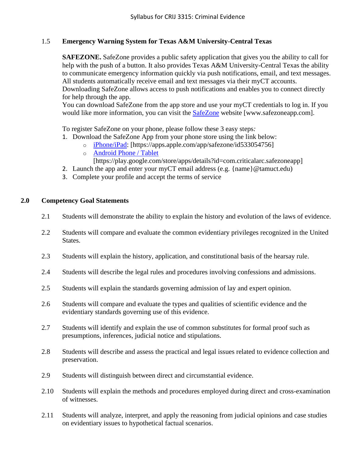## 1.5 **Emergency Warning System for Texas A&M University-Central Texas**

**SAFEZONE.** SafeZone provides a public safety application that gives you the ability to call for help with the push of a button. It also provides Texas A&M University-Central Texas the ability to communicate emergency information quickly via push notifications, email, and text messages. All students automatically receive email and text messages via their myCT accounts. Downloading SafeZone allows access to push notifications and enables you to connect directly

for help through the app. You can download SafeZone from the app store and use your myCT credentials to log in. If you would like more information, you can visit the [SafeZone](http://www.safezoneapp.com/) website [www.safezoneapp.com].

To register SafeZone on your phone, please follow these 3 easy steps*:*

- 1. Download the SafeZone App from your phone store using the link below:
	- o [iPhone/iPad:](https://apps.apple.com/app/safezone/id533054756) [https://apps.apple.com/app/safezone/id533054756]
	- o [Android Phone / Tablet](https://play.google.com/store/apps/details?id=com.criticalarc.safezoneapp)
		- [https://play.google.com/store/apps/details?id=com.criticalarc.safezoneapp]
- 2. Launch the app and enter your myCT email address (e.g. {name}@tamuct.edu)
- 3. Complete your profile and accept the terms of service

#### **2.0 Competency Goal Statements**

- 2.1 Students will demonstrate the ability to explain the history and evolution of the laws of evidence.
- 2.2 Students will compare and evaluate the common evidentiary privileges recognized in the United States.
- 2.3 Students will explain the history, application, and constitutional basis of the hearsay rule.
- 2.4 Students will describe the legal rules and procedures involving confessions and admissions.
- 2.5 Students will explain the standards governing admission of lay and expert opinion.
- 2.6 Students will compare and evaluate the types and qualities of scientific evidence and the evidentiary standards governing use of this evidence.
- 2.7 Students will identify and explain the use of common substitutes for formal proof such as presumptions, inferences, judicial notice and stipulations.
- 2.8 Students will describe and assess the practical and legal issues related to evidence collection and preservation.
- 2.9 Students will distinguish between direct and circumstantial evidence.
- 2.10 Students will explain the methods and procedures employed during direct and cross-examination of witnesses.
- 2.11 Students will analyze, interpret, and apply the reasoning from judicial opinions and case studies on evidentiary issues to hypothetical factual scenarios.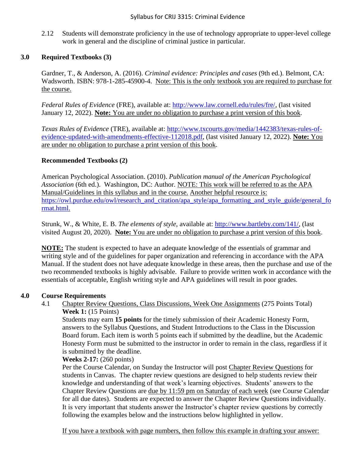2.12 Students will demonstrate proficiency in the use of technology appropriate to upper-level college work in general and the discipline of criminal justice in particular.

## **3.0 Required Textbooks (3)**

Gardner, T., & Anderson, A. (2016). *Criminal evidence: Principles and cases* (9th ed.). Belmont, CA: Wadsworth. ISBN: 978-1-285-45900-4. Note: This is the only textbook you are required to purchase for the course.

*Federal Rules of Evidence* (FRE), available at: [http://www.law.cornell.edu/rules/fre/,](http://www.law.cornell.edu/rules/fre/) (last visited January 12, 2022). **Note:** You are under no obligation to purchase a print version of this book.

*Texas Rules of Evidence* (TRE), available at: [http://www.txcourts.gov/media/1442383/texas-rules-of](http://www.txcourts.gov/media/1442383/texas-rules-of-evidence-updated-with-amendments-effective-112018.pdf)[evidence-updated-with-amendments-effective-112018.pdf,](http://www.txcourts.gov/media/1442383/texas-rules-of-evidence-updated-with-amendments-effective-112018.pdf) (last visited January 12, 2022). **Note:** You are under no obligation to purchase a print version of this book.

#### **Recommended Textbooks (2)**

American Psychological Association. (2010). *Publication manual of the American Psychological Association* (6th ed.). Washington, DC: Author. NOTE: This work will be referred to as the APA Manual/Guidelines in this syllabus and in the course. Another helpful resource is: [https://owl.purdue.edu/owl/research\\_and\\_citation/apa\\_style/apa\\_formatting\\_and\\_style\\_guide/general\\_fo](https://owl.purdue.edu/owl/research_and_citation/apa_style/apa_formatting_and_style_guide/general_format.html) [rmat.html.](https://owl.purdue.edu/owl/research_and_citation/apa_style/apa_formatting_and_style_guide/general_format.html)

Strunk, W., & White, E. B. *The elements of style*, available at: [http://www.bartleby.com/141/,](http://www.bartleby.com/141/) (last visited August 20, 2020). **Note:** You are under no obligation to purchase a print version of this book.

**NOTE:** The student is expected to have an adequate knowledge of the essentials of grammar and writing style and of the guidelines for paper organization and referencing in accordance with the APA Manual. If the student does not have adequate knowledge in these areas, then the purchase and use of the two recommended textbooks is highly advisable. Failure to provide written work in accordance with the essentials of acceptable, English writing style and APA guidelines will result in poor grades.

#### **4.0 Course Requirements**

4.1 Chapter Review Questions, Class Discussions, Week One Assignments (275 Points Total)

#### **Week 1:** (15 Points)

Students may earn **15 points** for the timely submission of their Academic Honesty Form, answers to the Syllabus Questions, and Student Introductions to the Class in the Discussion Board forum. Each item is worth 5 points each if submitted by the deadline, but the Academic Honesty Form must be submitted to the instructor in order to remain in the class, regardless if it is submitted by the deadline.

## **Weeks 2-17:** (260 points)

Per the Course Calendar, on Sunday the Instructor will post Chapter Review Questions for students in Canvas. The chapter review questions are designed to help students review their knowledge and understanding of that week's learning objectives. Students' answers to the Chapter Review Questions are due by 11:59 pm on Saturday of each week (see Course Calendar for all due dates). Students are expected to answer the Chapter Review Questions individually. It is very important that students answer the Instructor's chapter review questions by correctly following the examples below and the instructions below highlighted in yellow.

If you have a textbook with page numbers, then follow this example in drafting your answer: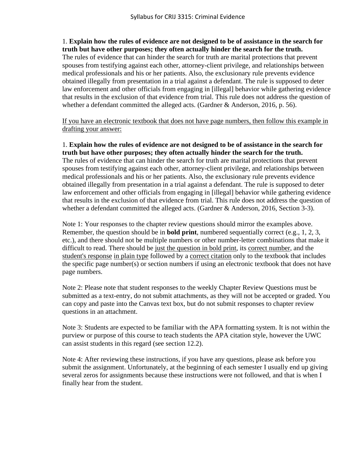1. **Explain how the rules of evidence are not designed to be of assistance in the search for truth but have other purposes; they often actually hinder the search for the truth.**

The rules of evidence that can hinder the search for truth are marital protections that prevent spouses from testifying against each other, attorney-client privilege, and relationships between medical professionals and his or her patients. Also, the exclusionary rule prevents evidence obtained illegally from presentation in a trial against a defendant. The rule is supposed to deter law enforcement and other officials from engaging in [illegal] behavior while gathering evidence that results in the exclusion of that evidence from trial. This rule does not address the question of whether a defendant committed the alleged acts. (Gardner & Anderson, 2016, p. 56).

If you have an electronic textbook that does not have page numbers, then follow this example in drafting your answer:

1. **Explain how the rules of evidence are not designed to be of assistance in the search for truth but have other purposes; they often actually hinder the search for the truth.** The rules of evidence that can hinder the search for truth are marital protections that prevent

spouses from testifying against each other, attorney-client privilege, and relationships between medical professionals and his or her patients. Also, the exclusionary rule prevents evidence obtained illegally from presentation in a trial against a defendant. The rule is supposed to deter law enforcement and other officials from engaging in [illegal] behavior while gathering evidence that results in the exclusion of that evidence from trial. This rule does not address the question of whether a defendant committed the alleged acts. (Gardner & Anderson, 2016, Section 3-3).

Note 1: Your responses to the chapter review questions should mirror the examples above. Remember, the question should be in **bold print**, numbered sequentially correct (e.g., 1, 2, 3, etc.), and there should not be multiple numbers or other number-letter combinations that make it difficult to read. There should be just the question in bold print, its correct number, and the student's response in plain type followed by a correct citation only to the textbook that includes the specific page number(s) or section numbers if using an electronic textbook that does not have page numbers.

Note 2: Please note that student responses to the weekly Chapter Review Questions must be submitted as a text-entry, do not submit attachments, as they will not be accepted or graded. You can copy and paste into the Canvas text box, but do not submit responses to chapter review questions in an attachment.

Note 3: Students are expected to be familiar with the APA formatting system. It is not within the purview or purpose of this course to teach students the APA citation style, however the UWC can assist students in this regard (see section 12.2).

Note 4: After reviewing these instructions, if you have any questions, please ask before you submit the assignment. Unfortunately, at the beginning of each semester I usually end up giving several zeros for assignments because these instructions were not followed, and that is when I finally hear from the student.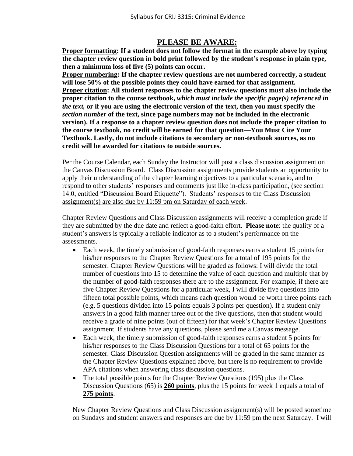# **PLEASE BE AWARE:**

**Proper formatting: If a student does not follow the format in the example above by typing the chapter review question in bold print followed by the student's response in plain type, then a minimum loss of five (5) points can occur.** 

**Proper numbering: If the chapter review questions are not numbered correctly, a student will lose 50% of the possible points they could have earned for that assignment. Proper citation: All student responses to the chapter review questions must also include the proper citation to the course textbook,** *which must include the specific page(s) referenced in the text,* **or if you are using the electronic version of the text, then you must specify the**  *section number* **of the text, since page numbers may not be included in the electronic version). If a response to a chapter review question does not include the proper citation to the course textbook, no credit will be earned for that question—You Must Cite Your Textbook. Lastly, do not include citations to secondary or non-textbook sources, as no credit will be awarded for citations to outside sources.**

Per the Course Calendar, each Sunday the Instructor will post a class discussion assignment on the Canvas Discussion Board. Class Discussion assignments provide students an opportunity to apply their understanding of the chapter learning objectives to a particular scenario, and to respond to other students' responses and comments just like in-class participation, (see section 14.0, entitled "Discussion Board Etiquette"). Students' responses to the Class Discussion assignment(s) are also due by 11:59 pm on Saturday of each week.

Chapter Review Questions and Class Discussion assignments will receive a completion grade if they are submitted by the due date and reflect a good-faith effort. **Please note**: the quality of a student's answers is typically a reliable indicator as to a student's performance on the assessments.

- Each week, the timely submission of good-faith responses earns a student 15 points for his/her responses to the Chapter Review Questions for a total of 195 points for the semester. Chapter Review Questions will be graded as follows: I will divide the total number of questions into 15 to determine the value of each question and multiple that by the number of good-faith responses there are to the assignment. For example, if there are five Chapter Review Questions for a particular week, I will divide five questions into fifteen total possible points, which means each question would be worth three points each (e.g. 5 questions divided into 15 points equals 3 points per question). If a student only answers in a good faith manner three out of the five questions, then that student would receive a grade of nine points (out of fifteen) for that week's Chapter Review Questions assignment. If students have any questions, please send me a Canvas message.
- Each week, the timely submission of good-faith responses earns a student 5 points for his/her responses to the Class Discussion Questions for a total of 65 points for the semester. Class Discussion Question assignments will be graded in the same manner as the Chapter Review Questions explained above, but there is no requirement to provide APA citations when answering class discussion questions.
- The total possible points for the Chapter Review Questions (195) plus the Class Discussion Questions (65) is **260 points**, plus the 15 points for week 1 equals a total of **275 points**.

New Chapter Review Questions and Class Discussion assignment(s) will be posted sometime on Sundays and student answers and responses are due by 11:59 pm the next Saturday. I will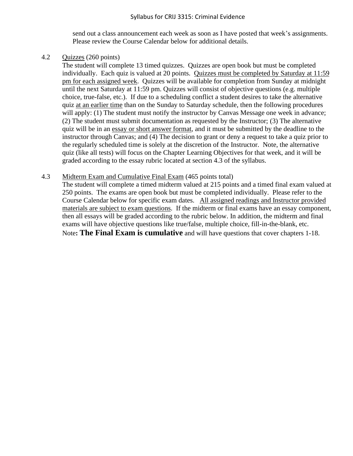#### Syllabus for CRIJ 3315: Criminal Evidence

send out a class announcement each week as soon as I have posted that week's assignments. Please review the Course Calendar below for additional details.

#### 4.2 Quizzes (260 points)

The student will complete 13 timed quizzes. Quizzes are open book but must be completed individually. Each quiz is valued at 20 points. Quizzes must be completed by Saturday at 11:59 pm for each assigned week. Quizzes will be available for completion from Sunday at midnight until the next Saturday at 11:59 pm. Quizzes will consist of objective questions (e.g. multiple choice, true-false, etc.). If due to a scheduling conflict a student desires to take the alternative quiz at an earlier time than on the Sunday to Saturday schedule, then the following procedures will apply: (1) The student must notify the instructor by Canvas Message one week in advance; (2) The student must submit documentation as requested by the Instructor; (3) The alternative quiz will be in an essay or short answer format, and it must be submitted by the deadline to the instructor through Canvas; and (4) The decision to grant or deny a request to take a quiz prior to the regularly scheduled time is solely at the discretion of the Instructor. Note, the alternative quiz (like all tests) will focus on the Chapter Learning Objectives for that week, and it will be graded according to the essay rubric located at section 4.3 of the syllabus.

#### 4.3 Midterm Exam and Cumulative Final Exam (465 points total)

The student will complete a timed midterm valued at 215 points and a timed final exam valued at 250 points. The exams are open book but must be completed individually. Please refer to the Course Calendar below for specific exam dates. All assigned readings and Instructor provided materials are subject to exam questions. If the midterm or final exams have an essay component, then all essays will be graded according to the rubric below. In addition, the midterm and final exams will have objective questions like true/false, multiple choice, fill-in-the-blank, etc. Note**: The Final Exam is cumulative** and will have questions that cover chapters 1-18.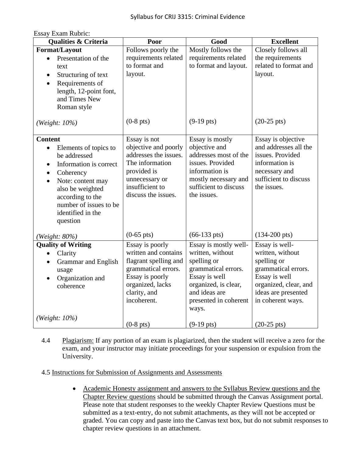| ESSAY EXAIII NUUHU.<br><b>Qualities &amp; Criteria</b>                                                                                                                                                                                                                     | Poor                                                                                                                                                          | Good                                                                                                                                                                        | <b>Excellent</b>                                                                                                                                               |
|----------------------------------------------------------------------------------------------------------------------------------------------------------------------------------------------------------------------------------------------------------------------------|---------------------------------------------------------------------------------------------------------------------------------------------------------------|-----------------------------------------------------------------------------------------------------------------------------------------------------------------------------|----------------------------------------------------------------------------------------------------------------------------------------------------------------|
| Format/Layout                                                                                                                                                                                                                                                              | Follows poorly the                                                                                                                                            | Mostly follows the                                                                                                                                                          | Closely follows all                                                                                                                                            |
| Presentation of the<br>$\bullet$<br>text<br>Structuring of text<br>$\bullet$<br>Requirements of<br>$\bullet$<br>length, 12-point font,<br>and Times New<br>Roman style                                                                                                     | requirements related<br>to format and<br>layout.                                                                                                              | requirements related<br>to format and layout.                                                                                                                               | the requirements<br>related to format and<br>layout.                                                                                                           |
| (Weight: 10%)                                                                                                                                                                                                                                                              | $(0-8$ pts)                                                                                                                                                   | $(9-19 \text{ pts})$                                                                                                                                                        | $(20-25 \text{ pts})$                                                                                                                                          |
| <b>Content</b><br>Elements of topics to<br>$\bullet$<br>be addressed<br>Information is correct<br>$\bullet$<br>Coherency<br>$\bullet$<br>Note: content may<br>$\bullet$<br>also be weighted<br>according to the<br>number of issues to be<br>identified in the<br>question | Essay is not<br>objective and poorly<br>addresses the issues.<br>The information<br>provided is<br>unnecessary or<br>insufficient to<br>discuss the issues.   | Essay is mostly<br>objective and<br>addresses most of the<br>issues. Provided<br>information is<br>mostly necessary and<br>sufficient to discuss<br>the issues.             | Essay is objective<br>and addresses all the<br>issues. Provided<br>information is<br>necessary and<br>sufficient to discuss<br>the issues.                     |
| (Weight: 80%)                                                                                                                                                                                                                                                              | $(0-65 \text{ pts})$                                                                                                                                          | $(66-133 \text{ pts})$                                                                                                                                                      | $(134-200 \text{ pts})$                                                                                                                                        |
| <b>Quality of Writing</b><br>Clarity<br>$\bullet$<br>Grammar and English<br>$\bullet$<br>usage<br>Organization and<br>coherence                                                                                                                                            | Essay is poorly<br>written and contains<br>flagrant spelling and<br>grammatical errors.<br>Essay is poorly<br>organized, lacks<br>clarity, and<br>incoherent. | Essay is mostly well-<br>written, without<br>spelling or<br>grammatical errors.<br>Essay is well<br>organized, is clear,<br>and ideas are<br>presented in coherent<br>ways. | Essay is well-<br>written, without<br>spelling or<br>grammatical errors.<br>Essay is well<br>organized, clear, and<br>ideas are presented<br>in coherent ways. |
| (Weight: 10%)                                                                                                                                                                                                                                                              | $(0-8$ pts)                                                                                                                                                   | $(9-19 \text{ pts})$                                                                                                                                                        | $(20-25 \text{ pts})$                                                                                                                                          |

# Essay Exam Rubric:

4.4 Plagiarism: If any portion of an exam is plagiarized, then the student will receive a zero for the exam, and your instructor may initiate proceedings for your suspension or expulsion from the University.

## 4.5 Instructions for Submission of Assignments and Assessments

• Academic Honesty assignment and answers to the Syllabus Review questions and the Chapter Review questions should be submitted through the Canvas Assignment portal. Please note that student responses to the weekly Chapter Review Questions must be submitted as a text-entry, do not submit attachments, as they will not be accepted or graded. You can copy and paste into the Canvas text box, but do not submit responses to chapter review questions in an attachment.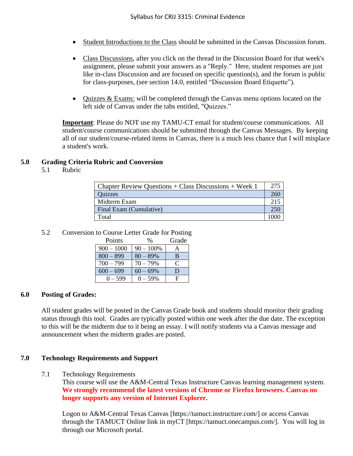- Student Introductions to the Class should be submitted in the Canvas Discussion forum.
- Class Discussions, after you click on the thread in the Discussion Board for that week's assignment, please submit your answers as a "Reply." Here, student responses are just like in-class Discussion and are focused on specific question(s), and the forum is public for class-purposes, (see section 14.0, entitled "Discussion Board Etiquette").
- Ouizzes  $&$  Exams: will be completed through the Canvas menu options located on the left side of Canvas under the tabs entitled, "Quizzes."

**Important**: Please do NOT use my TAMU-CT email for student/course communications. All student/course communications should be submitted through the Canvas Messages. By keeping all of our student/course-related items in Canvas, there is a much less chance that I will misplace a student's work.

### **5.0 Grading Criteria Rubric and Conversion**

5.1 Rubric

| $\vert$ Chapter Review Questions + Class Discussions + Week 1 |      |  |
|---------------------------------------------------------------|------|--|
| Quizzes                                                       |      |  |
| Midterm Exam                                                  |      |  |
| Final Exam (Cumulative)                                       |      |  |
| Total                                                         | 1000 |  |

#### 5.2 Conversion to Course Letter Grade for Posting

| Points       | %           | Grade |
|--------------|-------------|-------|
| $900 - 1000$ | $90 - 100%$ |       |
| $800 - 899$  | $80 - 89%$  | B     |
| $700 - 799$  | 70 – 79%    |       |
| $600 - 699$  | $60 - 69\%$ | ו ו   |
| $0 - 599$    | 0 – 59%     | F     |

#### **6.0 Posting of Grades:**

All student grades will be posted in the Canvas Grade book and students should monitor their grading status through this tool. Grades are typically posted within one week after the due date. The exception to this will be the midterm due to it being an essay. I will notify students via a Canvas message and announcement when the midterm grades are posted.

#### **7.0 Technology Requirements and Support**

7.1 Technology Requirements

This course will use the A&M-Central Texas Instructure Canvas learning management system. **We strongly recommend the latest versions of Chrome or Firefox browsers. Canvas no longer supports any version of Internet Explorer.**

Logon to A&M-Central Texas Canvas [https://tamuct.instructure.com/] or access Canvas through the TAMUCT Online link in myCT [https://tamuct.onecampus.com/]. You will log in through our Microsoft portal.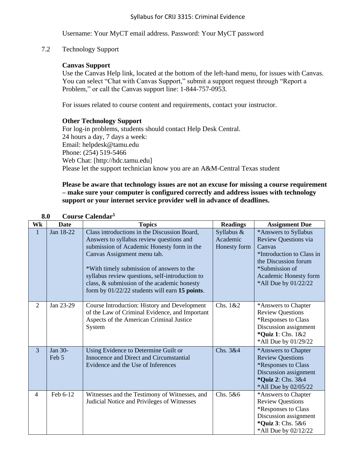Username: Your MyCT email address. Password: Your MyCT password

7.2 Technology Support

## **Canvas Support**

Use the Canvas Help link, located at the bottom of the left-hand menu, for issues with Canvas. You can select "Chat with Canvas Support," submit a support request through "Report a Problem," or call the Canvas support line: 1-844-757-0953.

For issues related to course content and requirements, contact your instructor.

#### **Other Technology Support**

For log-in problems, students should contact Help Desk Central. 24 hours a day, 7 days a week: Email: helpdesk@tamu.edu Phone: (254) 519-5466 Web Chat: [http://hdc.tamu.edu] Please let the support technician know you are an A&M-Central Texas student

#### **Please be aware that technology issues are not an excuse for missing a course requirement – make sure your computer is configured correctly and address issues with technology support or your internet service provider well in advance of deadlines.**

| Wk             | <b>Date</b>      | <b>Topics</b>                                                                                                                                                                                                                                                                                                                                                            | <b>Readings</b>                        | <b>Assignment Due</b>                                                                                                                                                          |
|----------------|------------------|--------------------------------------------------------------------------------------------------------------------------------------------------------------------------------------------------------------------------------------------------------------------------------------------------------------------------------------------------------------------------|----------------------------------------|--------------------------------------------------------------------------------------------------------------------------------------------------------------------------------|
| $\mathbf{1}$   | Jan 18-22        | Class introductions in the Discussion Board,<br>Answers to syllabus review questions and<br>submission of Academic Honesty form in the<br>Canvas Assignment menu tab.<br>*With timely submission of answers to the<br>syllabus review questions, self-introduction to<br>class, & submission of the academic honesty<br>form by $01/22/22$ students will earn 15 points. | Syllabus &<br>Academic<br>Honesty form | *Answers to Syllabus<br>Review Questions via<br>Canvas<br>*Introduction to Class in<br>the Discussion forum<br>*Submission of<br>Academic Honesty form<br>*All Due by 01/22/22 |
| $\overline{2}$ | Jan 23-29        | Course Introduction: History and Development<br>of the Law of Criminal Evidence, and Important<br>Aspects of the American Criminal Justice<br>System                                                                                                                                                                                                                     | Chs. 1&2                               | *Answers to Chapter<br><b>Review Questions</b><br>*Responses to Class<br>Discussion assignment<br>*Quiz 1: Chs. 1&2<br>*All Due by 01/29/22                                    |
| $\overline{3}$ | Jan 30-<br>Feb 5 | Using Evidence to Determine Guilt or<br>Innocence and Direct and Circumstantial<br>Evidence and the Use of Inferences                                                                                                                                                                                                                                                    | Chs. 3&4                               | *Answers to Chapter<br><b>Review Questions</b><br>*Responses to Class<br>Discussion assignment<br>*Quiz 2: Chs. 3&4<br>*All Due by 02/05/22                                    |
| $\overline{4}$ | Feb 6-12         | Witnesses and the Testimony of Witnesses, and<br>Judicial Notice and Privileges of Witnesses                                                                                                                                                                                                                                                                             | Chs. 5&6                               | *Answers to Chapter<br><b>Review Questions</b><br>*Responses to Class<br>Discussion assignment<br>*Quiz 3: Chs. 5&6<br>*All Due by 02/12/22                                    |

#### **8.0 Course Calendar<sup>1</sup>**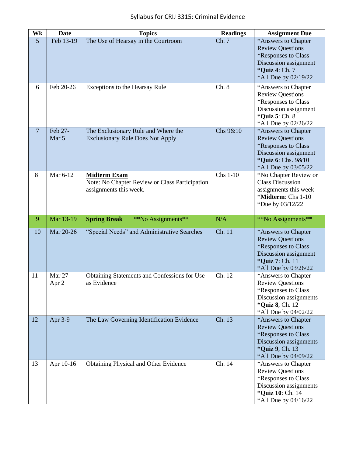| Wk              | <b>Date</b>      | <b>Topics</b>                                                                                   | <b>Readings</b> | <b>Assignment Due</b>                                                                                                                               |
|-----------------|------------------|-------------------------------------------------------------------------------------------------|-----------------|-----------------------------------------------------------------------------------------------------------------------------------------------------|
| $5\overline{)}$ | Feb 13-19        | The Use of Hearsay in the Courtroom                                                             | Ch. 7           | *Answers to Chapter<br><b>Review Questions</b><br>*Responses to Class<br>Discussion assignment<br>*Quiz 4: Ch. 7<br>*All Due by 02/19/22            |
| 6               | Feb 20-26        | Exceptions to the Hearsay Rule                                                                  | Ch. 8           | *Answers to Chapter<br><b>Review Questions</b><br>*Responses to Class<br>Discussion assignment<br>* <b>Quiz 5: Ch. 8</b><br>*All Due by 02/26/22    |
| $\overline{7}$  | Feb 27-<br>Mar 5 | The Exclusionary Rule and Where the<br><b>Exclusionary Rule Does Not Apply</b>                  | Chs 9&10        | *Answers to Chapter<br><b>Review Questions</b><br>*Responses to Class<br>Discussion assignment<br>*Quiz 6: Chs. 9&10<br>*All Due by 03/05/22        |
| 8               | Mar 6-12         | <b>Midterm Exam</b><br>Note: No Chapter Review or Class Participation<br>assignments this week. | Chs 1-10        | *No Chapter Review or<br><b>Class Discussion</b><br>assignments this week<br>*Midterm: Chs 1-10<br>*Due by 03/12/22                                 |
| 9               | Mar 13-19        | <b>Spring Break</b><br>**No Assignments**                                                       | N/A             | **No Assignments**                                                                                                                                  |
| 10              | Mar 20-26        | "Special Needs" and Administrative Searches                                                     | Ch. 11          | *Answers to Chapter<br><b>Review Questions</b><br>*Responses to Class<br>Discussion assignment<br>*Quiz 7: Ch. 11<br>*All Due by 03/26/22           |
| 11              | Mar 27-<br>Apr 2 | Obtaining Statements and Confessions for Use<br>as Evidence                                     | Ch. 12          | *Answers to Chapter<br><b>Review Questions</b><br>*Responses to Class<br>Discussion assignments<br>* <b>Quiz 8</b> , Ch. 12<br>*All Due by 04/02/22 |
| 12              | Apr 3-9          | The Law Governing Identification Evidence                                                       | Ch. 13          | *Answers to Chapter<br><b>Review Questions</b><br>*Responses to Class<br>Discussion assignments<br>* <b>Quiz 9, Ch. 13</b><br>*All Due by 04/09/22  |
| 13              | Apr 10-16        | <b>Obtaining Physical and Other Evidence</b>                                                    | Ch. 14          | *Answers to Chapter<br><b>Review Questions</b><br>*Responses to Class<br>Discussion assignments<br>*Quiz 10: Ch. 14<br>*All Due by 04/16/22         |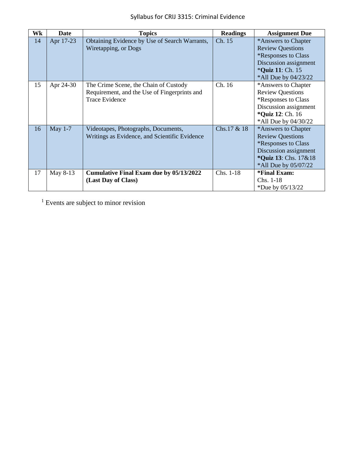| Wk | <b>Date</b> | <b>Topics</b>                                                                                                  | <b>Readings</b> | <b>Assignment Due</b>                                                                                                                                            |
|----|-------------|----------------------------------------------------------------------------------------------------------------|-----------------|------------------------------------------------------------------------------------------------------------------------------------------------------------------|
| 14 | Apr 17-23   | Obtaining Evidence by Use of Search Warrants,<br>Wiretapping, or Dogs                                          | Ch. 15          | *Answers to Chapter<br><b>Review Questions</b><br><i><b>*Responses to Class</b></i><br>Discussion assignment<br>* <b>Quiz 11: Ch. 15</b><br>*All Due by 04/23/22 |
| 15 | Apr 24-30   | The Crime Scene, the Chain of Custody<br>Requirement, and the Use of Fingerprints and<br><b>Trace Evidence</b> | Ch. 16          | *Answers to Chapter<br><b>Review Questions</b><br><i><b>*Responses to Class</b></i><br>Discussion assignment<br>* <b>Quiz 12: Ch. 16</b><br>*All Due by 04/30/22 |
| 16 | May $1-7$   | Videotapes, Photographs, Documents,<br>Writings as Evidence, and Scientific Evidence                           | Chs.17 & 18     | *Answers to Chapter<br><b>Review Questions</b><br><i><b>*Responses to Class</b></i><br>Discussion assignment<br>*Quiz 13: Chs. 17&18<br>*All Due by 05/07/22     |
| 17 | May 8-13    | <b>Cumulative Final Exam due by 05/13/2022</b><br>(Last Day of Class)                                          | Chs. 1-18       | *Final Exam:<br>$Chs. 1-18$<br>*Due by $05/13/22$                                                                                                                |

<sup>1</sup> Events are subject to minor revision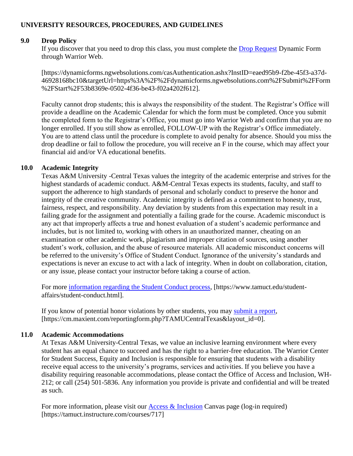## **UNIVERSITY RESOURCES, PROCEDURES, AND GUIDELINES**

### **9.0 Drop Policy**

If you discover that you need to drop this class, you must complete the [Drop Request](https://dynamicforms.ngwebsolutions.com/casAuthentication.ashx?InstID=eaed95b9-f2be-45f3-a37d-46928168bc10&targetUrl=https%3A%2F%2Fdynamicforms.ngwebsolutions.com%2FSubmit%2FForm%2FStart%2F53b8369e-0502-4f36-be43-f02a4202f612) Dynamic Form through Warrior Web.

[https://dynamicforms.ngwebsolutions.com/casAuthentication.ashx?InstID=eaed95b9-f2be-45f3-a37d-46928168bc10&targetUrl=https%3A%2F%2Fdynamicforms.ngwebsolutions.com%2FSubmit%2FForm %2FStart%2F53b8369e-0502-4f36-be43-f02a4202f612].

Faculty cannot drop students; this is always the responsibility of the student. The Registrar's Office will provide a deadline on the Academic Calendar for which the form must be completed. Once you submit the completed form to the Registrar's Office, you must go into Warrior Web and confirm that you are no longer enrolled. If you still show as enrolled, FOLLOW-UP with the Registrar's Office immediately. You are to attend class until the procedure is complete to avoid penalty for absence. Should you miss the drop deadline or fail to follow the procedure, you will receive an F in the course, which may affect your financial aid and/or VA educational benefits.

#### **10.0 Academic Integrity**

Texas A&M University -Central Texas values the integrity of the academic enterprise and strives for the highest standards of academic conduct. A&M-Central Texas expects its students, faculty, and staff to support the adherence to high standards of personal and scholarly conduct to preserve the honor and integrity of the creative community. Academic integrity is defined as a commitment to honesty, trust, fairness, respect, and responsibility. Any deviation by students from this expectation may result in a failing grade for the assignment and potentially a failing grade for the course. Academic misconduct is any act that improperly affects a true and honest evaluation of a student's academic performance and includes, but is not limited to, working with others in an unauthorized manner, cheating on an examination or other academic work, plagiarism and improper citation of sources, using another student's work, collusion, and the abuse of resource materials. All academic misconduct concerns will be referred to the university's Office of Student Conduct. Ignorance of the university's standards and expectations is never an excuse to act with a lack of integrity. When in doubt on collaboration, citation, or any issue, please contact your instructor before taking a course of action.

For more [information regarding the Student Conduct process,](https://www.tamuct.edu/student-affairs/student-conduct.html) [https://www.tamuct.edu/studentaffairs/student-conduct.html].

If you know of potential honor violations by other students, you may [submit a report,](https://cm.maxient.com/reportingform.php?TAMUCentralTexas&layout_id=0) [https://cm.maxient.com/reportingform.php?TAMUCentralTexas&layout\_id=0].

#### **11.0 Academic Accommodations**

At Texas A&M University-Central Texas, we value an inclusive learning environment where every student has an equal chance to succeed and has the right to a barrier-free education. The Warrior Center for Student Success, Equity and Inclusion is responsible for ensuring that students with a disability receive equal access to the university's programs, services and activities. If you believe you have a disability requiring reasonable accommodations, please contact the Office of Access and Inclusion, WH-212; or call (254) 501-5836. Any information you provide is private and confidential and will be treated as such.

For more information, please visit our **Access & Inclusion** Canvas page (log-in required) [https://tamuct.instructure.com/courses/717]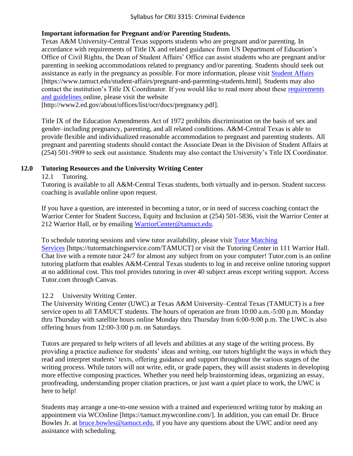## **Important information for Pregnant and/or Parenting Students.**

Texas A&M University-Central Texas supports students who are pregnant and/or parenting. In accordance with requirements of Title IX and related guidance from US Department of Education's Office of Civil Rights, the Dean of Student Affairs' Office can assist students who are pregnant and/or parenting in seeking accommodations related to pregnancy and/or parenting. Students should seek out assistance as early in the pregnancy as possible. For more information, please visit [Student Affairs](https://www.tamuct.edu/student-affairs/pregnant-and-parenting-students.html) [https://www.tamuct.edu/student-affairs/pregnant-and-parenting-students.html]. Students may also contact the institution's Title IX Coordinator. If you would like to read more about these [requirements](http://www2.ed.gov/about/offices/list/ocr/docs/pregnancy.pdf)  [and guidelines](http://www2.ed.gov/about/offices/list/ocr/docs/pregnancy.pdf) online, please visit the website

[http://www2.ed.gov/about/offices/list/ocr/docs/pregnancy.pdf].

Title IX of the Education Amendments Act of 1972 prohibits discrimination on the basis of sex and gender–including pregnancy, parenting, and all related conditions. A&M-Central Texas is able to provide flexible and individualized reasonable accommodation to pregnant and parenting students. All pregnant and parenting students should contact the Associate Dean in the Division of Student Affairs at (254) 501-5909 to seek out assistance. Students may also contact the University's Title IX Coordinator.

## **12.0 Tutoring Resources and the University Writing Center**

#### 12.1 Tutoring.

Tutoring is available to all A&M-Central Texas students, both virtually and in-person. Student success coaching is available online upon request.

If you have a question, are interested in becoming a tutor, or in need of success coaching contact the Warrior Center for Student Success, Equity and Inclusion at (254) 501-5836, visit the Warrior Center at 212 Warrior Hall, or by emailing [WarriorCenter@tamuct.edu.](mailto:WarriorCenter@tamuct.edu)

To schedule tutoring sessions and view tutor availability, please visit [Tutor Matching](https://tutormatchingservice.com/TAMUCT)  [Services](https://tutormatchingservice.com/TAMUCT) [https://tutormatchingservice.com/TAMUCT] or visit the Tutoring Center in 111 Warrior Hall. Chat live with a remote tutor 24/7 for almost any subject from on your computer! Tutor.com is an online tutoring platform that enables A&M-Central Texas students to log in and receive online tutoring support at no additional cost. This tool provides tutoring in over 40 subject areas except writing support. Access Tutor.com through Canvas.

## 12.2 University Writing Center.

The University Writing Center (UWC) at Texas A&M University–Central Texas (TAMUCT) is a free service open to all TAMUCT students. The hours of operation are from 10:00 a.m.-5:00 p.m. Monday thru Thursday with satellite hours online Monday thru Thursday from 6:00-9:00 p.m. The UWC is also offering hours from 12:00-3:00 p.m. on Saturdays.

Tutors are prepared to help writers of all levels and abilities at any stage of the writing process. By providing a practice audience for students' ideas and writing, our tutors highlight the ways in which they read and interpret students' texts, offering guidance and support throughout the various stages of the writing process. While tutors will not write, edit, or grade papers, they will assist students in developing more effective composing practices. Whether you need help brainstorming ideas, organizing an essay, proofreading, understanding proper citation practices, or just want a quiet place to work, the UWC is here to help!

Students may arrange a one-to-one session with a trained and experienced writing tutor by making an appointment via WCOnline [https://tamuct.mywconline.com/]. In addition, you can email Dr. Bruce Bowles Jr. at [bruce.bowles@tamuct.edu,](mailto:bruce.bowles@tamuct.edu) if you have any questions about the UWC and/or need any assistance with scheduling.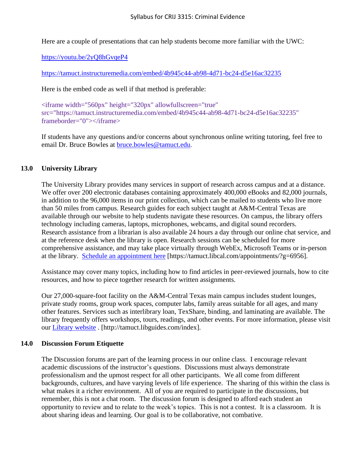Here are a couple of presentations that can help students become more familiar with the UWC:

[https://youtu.be/2yQ8hGvqeP4](https://nam04.safelinks.protection.outlook.com/?url=https%3A%2F%2Fyoutu.be%2F2yQ8hGvqeP4&data=04%7C01%7Cswalden%40tamuct.edu%7Ce7703a0354ce46e06e4508d9d46591ba%7C9eed4e3000f744849ff193ad8005acec%7C0%7C0%7C637774354960815631%7CUnknown%7CTWFpbGZsb3d8eyJWIjoiMC4wLjAwMDAiLCJQIjoiV2luMzIiLCJBTiI6Ik1haWwiLCJXVCI6Mn0%3D%7C3000&sdata=bjDEEcxuoyu26lPSC7y3ADI35oYBb7kfKas9w7xmCOk%3D&reserved=0) 

[https://tamuct.instructuremedia.com/embed/4b945c44-ab98-4d71-bc24-d5e16ac32235](https://nam04.safelinks.protection.outlook.com/?url=https%3A%2F%2Ftamuct.instructuremedia.com%2Fembed%2F4b945c44-ab98-4d71-bc24-d5e16ac32235&data=04%7C01%7Cswalden%40tamuct.edu%7Ce7703a0354ce46e06e4508d9d46591ba%7C9eed4e3000f744849ff193ad8005acec%7C0%7C0%7C637774354960825592%7CUnknown%7CTWFpbGZsb3d8eyJWIjoiMC4wLjAwMDAiLCJQIjoiV2luMzIiLCJBTiI6Ik1haWwiLCJXVCI6Mn0%3D%7C3000&sdata=PrAOMbVKZOBvczdmAg9brtf%2B%2B6yudXGNSQi71Bhaed0%3D&reserved=0)

Here is the embed code as well if that method is preferable:

<iframe width="560px" height="320px" allowfullscreen="true" src="https://tamuct.instructuremedia.com/embed/4b945c44-ab98-4d71-bc24-d5e16ac32235" frameborder="0"></iframe>

If students have any questions and/or concerns about synchronous online writing tutoring, feel free to email Dr. Bruce Bowles at [bruce.bowles@tamuct.edu.](mailto:bruce.bowles@tamuct.edu)

#### **13.0 University Library**

The University Library provides many services in support of research across campus and at a distance. We offer over 200 electronic databases containing approximately 400,000 eBooks and 82,000 journals, in addition to the 96,000 items in our print collection, which can be mailed to students who live more than 50 miles from campus. Research guides for each subject taught at A&M-Central Texas are available through our website to help students navigate these resources. On campus, the library offers technology including cameras, laptops, microphones, webcams, and digital sound recorders. Research assistance from a librarian is also available 24 hours a day through our online chat service, and at the reference desk when the library is open. Research sessions can be scheduled for more comprehensive assistance, and may take place virtually through WebEx, Microsoft Teams or in-person at the library. [Schedule an appointment](https://nam04.safelinks.protection.outlook.com/?url=https%3A%2F%2Ftamuct.libcal.com%2Fappointments%2F%3Fg%3D6956&data=04%7C01%7Clisa.bunkowski%40tamuct.edu%7Cde2c07d9f5804f09518008d9ab7ba6ff%7C9eed4e3000f744849ff193ad8005acec%7C0%7C0%7C637729369835011558%7CUnknown%7CTWFpbGZsb3d8eyJWIjoiMC4wLjAwMDAiLCJQIjoiV2luMzIiLCJBTiI6Ik1haWwiLCJXVCI6Mn0%3D%7C3000&sdata=KhtjgRSAw9aq%2FoBsB6wyu8b7PSuGN5EGPypzr3Ty2No%3D&reserved=0) here [https://tamuct.libcal.com/appointments/?g=6956].

Assistance may cover many topics, including how to find articles in peer-reviewed journals, how to cite resources, and how to piece together research for written assignments.

Our 27,000-square-foot facility on the A&M-Central Texas main campus includes student lounges, private study rooms, group work spaces, computer labs, family areas suitable for all ages, and many other features. Services such as interlibrary loan, TexShare, binding, and laminating are available. The library frequently offers workshops, tours, readings, and other events. For more information, please visit our [Library website](https://nam04.safelinks.protection.outlook.com/?url=https%3A%2F%2Ftamuct.libguides.com%2Findex&data=04%7C01%7Clisa.bunkowski%40tamuct.edu%7C7d8489e8839a4915335f08d916f067f2%7C9eed4e3000f744849ff193ad8005acec%7C0%7C0%7C637566044056484222%7CUnknown%7CTWFpbGZsb3d8eyJWIjoiMC4wLjAwMDAiLCJQIjoiV2luMzIiLCJBTiI6Ik1haWwiLCJXVCI6Mn0%3D%7C1000&sdata=2R755V6rcIyedGrd4Os5rkgn1PvhHKU3kUV1vBKiHFo%3D&reserved=0) . [http://tamuct.libguides.com/index].

#### **14.0 Discussion Forum Etiquette**

The Discussion forums are part of the learning process in our online class. I encourage relevant academic discussions of the instructor's questions. Discussions must always demonstrate professionalism and the upmost respect for all other participants. We all come from different backgrounds, cultures, and have varying levels of life experience. The sharing of this within the class is what makes it a richer environment. All of you are required to participate in the discussions, but remember, this is not a chat room. The discussion forum is designed to afford each student an opportunity to review and to relate to the week's topics. This is not a contest. It is a classroom. It is about sharing ideas and learning. Our goal is to be collaborative, not combative.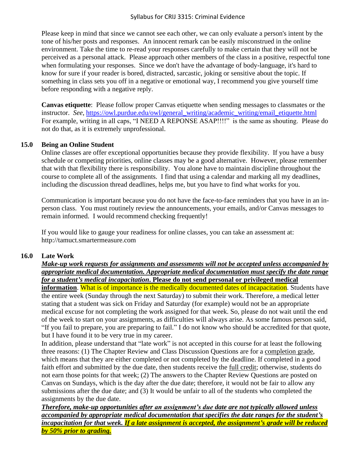Please keep in mind that since we cannot see each other, we can only evaluate a person's intent by the tone of his/her posts and responses. An innocent remark can be easily misconstrued in the online environment. Take the time to re-read your responses carefully to make certain that they will not be perceived as a personal attack. Please approach other members of the class in a positive, respectful tone when formulating your responses. Since we don't have the advantage of body-language, it's hard to know for sure if your reader is bored, distracted, sarcastic, joking or sensitive about the topic. If something in class sets you off in a negative or emotional way, I recommend you give yourself time before responding with a negative reply.

**Canvas etiquette**: Please follow proper Canvas etiquette when sending messages to classmates or the instructor. *See*, [https://owl.purdue.edu/owl/general\\_writing/academic\\_writing/email\\_etiquette.html](https://owl.purdue.edu/owl/general_writing/academic_writing/email_etiquette.html) For example, writing in all caps, "I NEED A REPONSE ASAP!!!!" is the same as shouting. Please do not do that, as it is extremely unprofessional.

## **15.0 Being an Online Student**

Online classes are offer exceptional opportunities because they provide flexibility. If you have a busy schedule or competing priorities, online classes may be a good alternative. However, please remember that with that flexibility there is responsibility. You alone have to maintain discipline throughout the course to complete all of the assignments. I find that using a calendar and marking all my deadlines, including the discussion thread deadlines, helps me, but you have to find what works for you.

Communication is important because you do not have the face-to-face reminders that you have in an inperson class. You must routinely review the announcements, your emails, and/or Canvas messages to remain informed. I would recommend checking frequently!

If you would like to gauge your readiness for online classes, you can take an assessment at: http://tamuct.smartermeasure.com

## **16.0 Late Work**

#### *Make-up work requests for assignments and assessments will not be accepted unless accompanied by appropriate medical documentation. Appropriate medical documentation must specify the date range for a student's medical incapacitation***. Please do not send personal or privileged medical**

**information**. What is of importance is the medically documented dates of incapacitation. Students have the entire week (Sunday through the next Saturday) to submit their work. Therefore, a medical letter stating that a student was sick on Friday and Saturday (for example) would not be an appropriate medical excuse for not completing the work assigned for that week. So, please do not wait until the end of the week to start on your assignments, as difficulties will always arise. As some famous person said, "If you fail to prepare, you are preparing to fail." I do not know who should be accredited for that quote, but I have found it to be very true in my career.

In addition, please understand that "late work" is not accepted in this course for at least the following three reasons: (1) The Chapter Review and Class Discussion Questions are for a completion grade, which means that they are either completed or not completed by the deadline. If completed in a good faith effort and submitted by the due date, then students receive the full credit; otherwise, students do not earn those points for that week; (2) The answers to the Chapter Review Questions are posted on Canvas on Sundays, which is the day after the due date; therefore, it would not be fair to allow any submissions after the due date; and (3) It would be unfair to all of the students who completed the assignments by the due date.

*Therefore, make-up opportunities after an assignment's due date are not typically allowed unless accompanied by appropriate medical documentation that specifies the date ranges for the student's incapacitation for that week. If a late assignment is accepted, the assignment's grade will be reduced by 50% prior to grading.*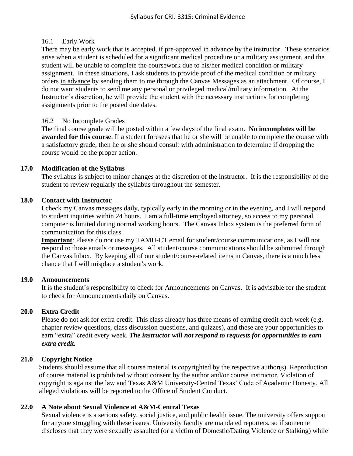## 16.1 Early Work

There may be early work that is accepted, if pre-approved in advance by the instructor. These scenarios arise when a student is scheduled for a significant medical procedure or a military assignment, and the student will be unable to complete the coursework due to his/her medical condition or military assignment. In these situations, I ask students to provide proof of the medical condition or military orders in advance by sending them to me through the Canvas Messages as an attachment. Of course, I do not want students to send me any personal or privileged medical/military information. At the Instructor's discretion, he will provide the student with the necessary instructions for completing assignments prior to the posted due dates.

#### 16.2 No Incomplete Grades

The final course grade will be posted within a few days of the final exam. **No incompletes will be awarded for this course**. If a student foresees that he or she will be unable to complete the course with a satisfactory grade, then he or she should consult with administration to determine if dropping the course would be the proper action.

## **17.0 Modification of the Syllabus**

The syllabus is subject to minor changes at the discretion of the instructor. It is the responsibility of the student to review regularly the syllabus throughout the semester.

#### **18.0 Contact with Instructor**

I check my Canvas messages daily, typically early in the morning or in the evening, and I will respond to student inquiries within 24 hours. I am a full-time employed attorney, so access to my personal computer is limited during normal working hours. The Canvas Inbox system is the preferred form of communication for this class.

**Important**: Please do not use my TAMU-CT email for student/course communications, as I will not respond to those emails or messages. All student/course communications should be submitted through the Canvas Inbox. By keeping all of our student/course-related items in Canvas, there is a much less chance that I will misplace a student's work.

#### **19.0 Announcements**

It is the student's responsibility to check for Announcements on Canvas. It is advisable for the student to check for Announcements daily on Canvas.

## **20.0 Extra Credit**

Please do not ask for extra credit. This class already has three means of earning credit each week (e.g. chapter review questions, class discussion questions, and quizzes), and these are your opportunities to earn "extra" credit every week. *The instructor will not respond to requests for opportunities to earn extra credit.*

## **21.0 Copyright Notice**

Students should assume that all course material is copyrighted by the respective author(s). Reproduction of course material is prohibited without consent by the author and/or course instructor. Violation of copyright is against the law and Texas A&M University-Central Texas' Code of Academic Honesty. All alleged violations will be reported to the Office of Student Conduct.

## **22.0 A Note about Sexual Violence at A&M-Central Texas**

Sexual violence is a serious safety, social justice, and public health issue. The university offers support for anyone struggling with these issues. University faculty are mandated reporters, so if someone discloses that they were sexually assaulted (or a victim of Domestic/Dating Violence or Stalking) while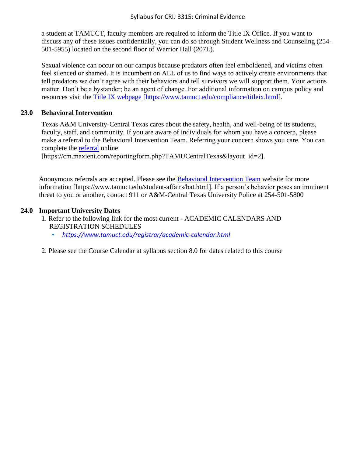a student at TAMUCT, faculty members are required to inform the Title IX Office. If you want to discuss any of these issues confidentially, you can do so through Student Wellness and Counseling (254- 501-5955) located on the second floor of Warrior Hall (207L).

Sexual violence can occur on our campus because predators often feel emboldened, and victims often feel silenced or shamed. It is incumbent on ALL of us to find ways to actively create environments that tell predators we don't agree with their behaviors and tell survivors we will support them. Your actions matter. Don't be a bystander; be an agent of change. For additional information on campus policy and resources visit the [Title IX webpage](https://www.tamuct.edu/compliance/titleix.html) [\[https://www.tamuct.edu/compliance/titleix.html\]](https://www.tamuct.edu/compliance/titleix.html).

## **23.0 Behavioral Intervention**

Texas A&M University-Central Texas cares about the safety, health, and well-being of its students, faculty, staff, and community. If you are aware of individuals for whom you have a concern, please make a referral to the Behavioral Intervention Team. Referring your concern shows you care. You can complete the [referral](https://cm.maxient.com/reportingform.php?TAMUCentralTexas&layout_id=2) online

[https://cm.maxient.com/reportingform.php?TAMUCentralTexas&layout\_id=2].

Anonymous referrals are accepted. Please see the [Behavioral Intervention Team](https://www.tamuct.edu/student-affairs/bat.html) website for more information [https://www.tamuct.edu/student-affairs/bat.html]. If a person's behavior poses an imminent threat to you or another, contact 911 or A&M-Central Texas University Police at 254-501-5800

## **24.0 Important University Dates**

- 1. Refer to the following link for the most current ACADEMIC CALENDARS AND REGISTRATION SCHEDULES
	- *<https://www.tamuct.edu/registrar/academic-calendar.html>*
- 2. Please see the Course Calendar at syllabus section 8.0 for dates related to this course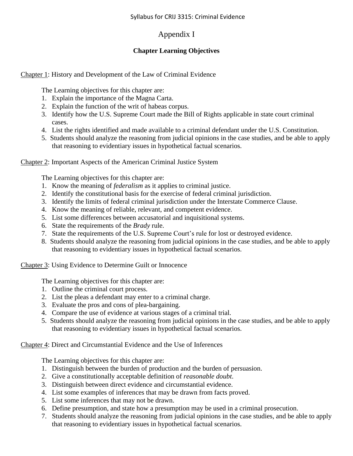# Appendix I

## **Chapter Learning Objectives**

Chapter 1: History and Development of the Law of Criminal Evidence

The Learning objectives for this chapter are:

- 1. Explain the importance of the Magna Carta.
- 2. Explain the function of the writ of habeas corpus.
- 3. Identify how the U.S. Supreme Court made the Bill of Rights applicable in state court criminal cases.
- 4. List the rights identified and made available to a criminal defendant under the U.S. Constitution.
- 5. Students should analyze the reasoning from judicial opinions in the case studies, and be able to apply that reasoning to evidentiary issues in hypothetical factual scenarios.

Chapter 2: Important Aspects of the American Criminal Justice System

The Learning objectives for this chapter are:

- 1. Know the meaning of *federalism* as it applies to criminal justice.
- 2. Identify the constitutional basis for the exercise of federal criminal jurisdiction.
- 3. Identify the limits of federal criminal jurisdiction under the Interstate Commerce Clause.
- 4. Know the meaning of reliable, relevant, and competent evidence.
- 5. List some differences between accusatorial and inquisitional systems.
- 6. State the requirements of the *Brady* rule.
- 7. State the requirements of the U.S. Supreme Court's rule for lost or destroyed evidence.
- 8. Students should analyze the reasoning from judicial opinions in the case studies, and be able to apply that reasoning to evidentiary issues in hypothetical factual scenarios.

Chapter 3: Using Evidence to Determine Guilt or Innocence

The Learning objectives for this chapter are:

- 1. Outline the criminal court process.
- 2. List the pleas a defendant may enter to a criminal charge.
- 3. Evaluate the pros and cons of plea-bargaining.
- 4. Compare the use of evidence at various stages of a criminal trial.
- 5. Students should analyze the reasoning from judicial opinions in the case studies, and be able to apply that reasoning to evidentiary issues in hypothetical factual scenarios.

Chapter 4: Direct and Circumstantial Evidence and the Use of Inferences

- 1. Distinguish between the burden of production and the burden of persuasion.
- 2. Give a constitutionally acceptable definition of *reasonable doubt*.
- 3. Distinguish between direct evidence and circumstantial evidence.
- 4. List some examples of inferences that may be drawn from facts proved.
- 5. List some inferences that may not be drawn.
- 6. Define presumption, and state how a presumption may be used in a criminal prosecution.
- 7. Students should analyze the reasoning from judicial opinions in the case studies, and be able to apply that reasoning to evidentiary issues in hypothetical factual scenarios.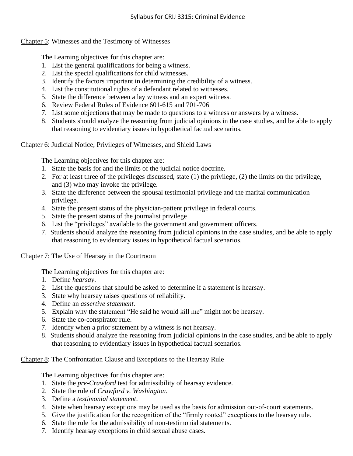## Chapter 5: Witnesses and the Testimony of Witnesses

The Learning objectives for this chapter are:

- 1. List the general qualifications for being a witness.
- 2. List the special qualifications for child witnesses.
- 3. Identify the factors important in determining the credibility of a witness.
- 4. List the constitutional rights of a defendant related to witnesses.
- 5. State the difference between a lay witness and an expert witness.
- 6. Review Federal Rules of Evidence 601-615 and 701-706
- 7. List some objections that may be made to questions to a witness or answers by a witness.
- 8. Students should analyze the reasoning from judicial opinions in the case studies, and be able to apply that reasoning to evidentiary issues in hypothetical factual scenarios.

Chapter 6: Judicial Notice, Privileges of Witnesses, and Shield Laws

The Learning objectives for this chapter are:

- 1. State the basis for and the limits of the judicial notice doctrine.
- 2. For at least three of the privileges discussed, state (1) the privilege, (2) the limits on the privilege, and (3) who may invoke the privilege.
- 3. State the difference between the spousal testimonial privilege and the marital communication privilege.
- 4. State the present status of the physician-patient privilege in federal courts.
- 5. State the present status of the journalist privilege
- 6. List the "privileges" available to the government and government officers.
- 7. Students should analyze the reasoning from judicial opinions in the case studies, and be able to apply that reasoning to evidentiary issues in hypothetical factual scenarios.

Chapter 7: The Use of Hearsay in the Courtroom

The Learning objectives for this chapter are:

- 1. Define *hearsay*.
- 2. List the questions that should be asked to determine if a statement is hearsay.
- 3. State why hearsay raises questions of reliability.
- 4. Define an *assertive statement*.
- 5. Explain why the statement "He said he would kill me" might not be hearsay.
- 6. State the co-conspirator rule.
- 7. Identify when a prior statement by a witness is not hearsay.
- 8. Students should analyze the reasoning from judicial opinions in the case studies, and be able to apply that reasoning to evidentiary issues in hypothetical factual scenarios.

Chapter 8: The Confrontation Clause and Exceptions to the Hearsay Rule

- 1. State the *pre-Crawford* test for admissibility of hearsay evidence.
- 2. State the rule of *Crawford v. Washington*.
- 3. Define a *testimonial statement*.
- 4. State when hearsay exceptions may be used as the basis for admission out-of-court statements.
- 5. Give the justification for the recognition of the "firmly rooted" exceptions to the hearsay rule.
- 6. State the rule for the admissibility of non-testimonial statements.
- 7. Identify hearsay exceptions in child sexual abuse cases.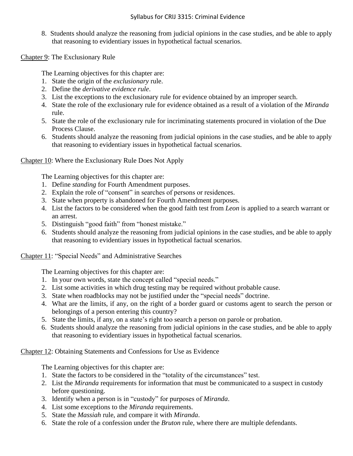#### Syllabus for CRIJ 3315: Criminal Evidence

8. Students should analyze the reasoning from judicial opinions in the case studies, and be able to apply that reasoning to evidentiary issues in hypothetical factual scenarios.

Chapter 9: The Exclusionary Rule

The Learning objectives for this chapter are:

- 1. State the origin of the *exclusionary* rule.
- 2. Define the *derivative evidence rule*.
- 3. List the exceptions to the exclusionary rule for evidence obtained by an improper search.
- 4. State the role of the exclusionary rule for evidence obtained as a result of a violation of the *Miranda* rule.
- 5. State the role of the exclusionary rule for incriminating statements procured in violation of the Due Process Clause.
- 6. Students should analyze the reasoning from judicial opinions in the case studies, and be able to apply that reasoning to evidentiary issues in hypothetical factual scenarios.

#### Chapter 10: Where the Exclusionary Rule Does Not Apply

The Learning objectives for this chapter are:

- 1. Define *standing* for Fourth Amendment purposes.
- 2. Explain the role of "consent" in searches of persons or residences.
- 3. State when property is abandoned for Fourth Amendment purposes.
- 4. List the factors to be considered when the good faith test from *Leon* is applied to a search warrant or an arrest.
- 5. Distinguish "good faith" from "honest mistake."
- 6. Students should analyze the reasoning from judicial opinions in the case studies, and be able to apply that reasoning to evidentiary issues in hypothetical factual scenarios.

#### Chapter 11: "Special Needs" and Administrative Searches

The Learning objectives for this chapter are:

- 1. In your own words, state the concept called "special needs."
- 2. List some activities in which drug testing may be required without probable cause.
- 3. State when roadblocks may not be justified under the "special needs" doctrine.
- 4. What are the limits, if any, on the right of a border guard or customs agent to search the person or belongings of a person entering this country?
- 5. State the limits, if any, on a state's right too search a person on parole or probation.
- 6. Students should analyze the reasoning from judicial opinions in the case studies, and be able to apply that reasoning to evidentiary issues in hypothetical factual scenarios.

Chapter 12: Obtaining Statements and Confessions for Use as Evidence

- 1. State the factors to be considered in the "totality of the circumstances" test.
- 2. List the *Miranda* requirements for information that must be communicated to a suspect in custody before questioning.
- 3. Identify when a person is in "custody" for purposes of *Miranda*.
- 4. List some exceptions to the *Miranda* requirements.
- 5. State the *Massiah* rule, and compare it with *Miranda*.
- 6. State the role of a confession under the *Bruton* rule, where there are multiple defendants.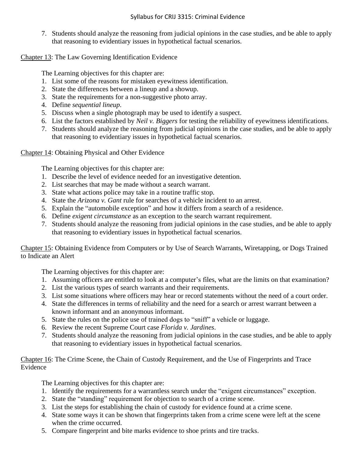7. Students should analyze the reasoning from judicial opinions in the case studies, and be able to apply that reasoning to evidentiary issues in hypothetical factual scenarios.

Chapter 13: The Law Governing Identification Evidence

The Learning objectives for this chapter are:

- 1. List some of the reasons for mistaken eyewitness identification.
- 2. State the differences between a lineup and a showup.
- 3. State the requirements for a non-suggestive photo array.
- 4. Define *sequential lineup*.
- 5. Discuss when a single photograph may be used to identify a suspect.
- 6. List the factors established by *Neil v. Biggers* for testing the reliability of eyewitness identifications.
- 7. Students should analyze the reasoning from judicial opinions in the case studies, and be able to apply that reasoning to evidentiary issues in hypothetical factual scenarios.

Chapter 14: Obtaining Physical and Other Evidence

The Learning objectives for this chapter are:

- 1. Describe the level of evidence needed for an investigative detention.
- 2. List searches that may be made without a search warrant.
- 3. State what actions police may take in a routine traffic stop.
- 4. State the *Arizona v. Gant* rule for searches of a vehicle incident to an arrest.
- 5. Explain the "automobile exception" and how it differs from a search of a residence.
- 6. Define *exigent circumstance* as an exception to the search warrant requirement.
- 7. Students should analyze the reasoning from judicial opinions in the case studies, and be able to apply that reasoning to evidentiary issues in hypothetical factual scenarios.

Chapter 15: Obtaining Evidence from Computers or by Use of Search Warrants, Wiretapping, or Dogs Trained to Indicate an Alert

The Learning objectives for this chapter are:

- 1. Assuming officers are entitled to look at a computer's files, what are the limits on that examination?
- 2. List the various types of search warrants and their requirements.
- 3. List some situations where officers may hear or record statements without the need of a court order.
- 4. State the differences in terms of reliability and the need for a search or arrest warrant between a known informant and an anonymous informant.
- 5. State the rules on the police use of trained dogs to "sniff" a vehicle or luggage.
- 6. Review the recent Supreme Court case *Florida v. Jardines*.
- 7. Students should analyze the reasoning from judicial opinions in the case studies, and be able to apply that reasoning to evidentiary issues in hypothetical factual scenarios.

Chapter 16: The Crime Scene, the Chain of Custody Requirement, and the Use of Fingerprints and Trace Evidence

- 1. Identify the requirements for a warrantless search under the "exigent circumstances" exception.
- 2. State the "standing" requirement for objection to search of a crime scene.
- 3. List the steps for establishing the chain of custody for evidence found at a crime scene.
- 4. State some ways it can be shown that fingerprints taken from a crime scene were left at the scene when the crime occurred.
- 5. Compare fingerprint and bite marks evidence to shoe prints and tire tracks.